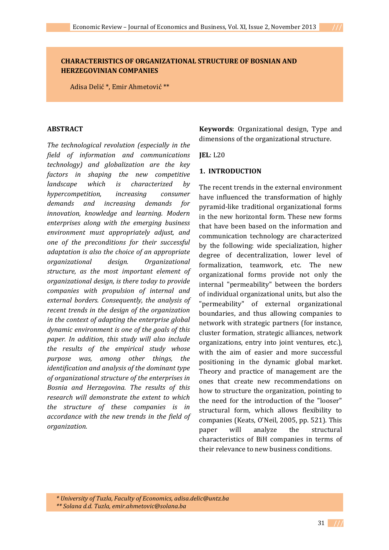## **CHARACTERISTICS OF ORGANIZATIONAL STRUCTURE OF BOSNIAN AND HERZEGOVINIAN COMPANIES**

Adisa Delić \*, Emir Ahmetović \*\*

#### **ABSTRACT**

*The technological revolution (especially in the field of information and communications technology) and globalization are the key factors in shaping the new competitive landscape which is characterized by hypercompetition, increasing consumer demands and increasing demands for innovation, knowledge and learning. Modern enterprises along with the emerging business environment must appropriately adjust, and one of the preconditions for their successful adaptation is also the choice of an appropriate organizational design. Organizational structure, as the most important element of organizational design, is there today to provide companies with propulsion of internal and external borders. Consequently, the analysis of recent trends in the design of the organization in the context of adapting the enterprise global dynamic environment is one of the goals of this paper. In addition, this study will also include the results of the empirical study whose purpose was, among other things, the identification and analysis of the dominant type of organizational structure of the enterprises in Bosnia and Herzegovina. The results of this research will demonstrate the extent to which the structure of these companies is in accordance with the new trends in the field of organization.* 

**Keywords**: Organizational design, Type and dimensions of the organizational structure.

#### **JEL**: L20

## **1. INTRODUCTION**

The recent trends in the external environment have influenced the transformation of highly pyramid-like traditional organizational forms in the new horizontal form. These new forms that have been based on the information and communication technology are characterized by the following: wide specialization, higher degree of decentralization, lower level of formalization, teamwork, etc. The new organizational forms provide not only the internal "permeability" between the borders of individual organizational units, but also the "permeability" of external organizational boundaries, and thus allowing companies to network with strategic partners (for instance, cluster formation, strategic alliances, network organizations, entry into joint ventures, etc.), with the aim of easier and more successful positioning in the dynamic global market. Theory and practice of management are the ones that create new recommendations on how to structure the organization, pointing to the need for the introduction of the "looser" structural form, which allows flexibility to companies (Keats, O'Neil, 2005, pp. 521). This paper will analyze the structural characteristics of BiH companies in terms of their relevance to new business conditions.

 *<sup>\*</sup> University of Tuzla, Faculty of Economics, adisa.delic@untz.ba \*\* Solana d.d. Tuzla, emir.ahmetovic@solana.ba*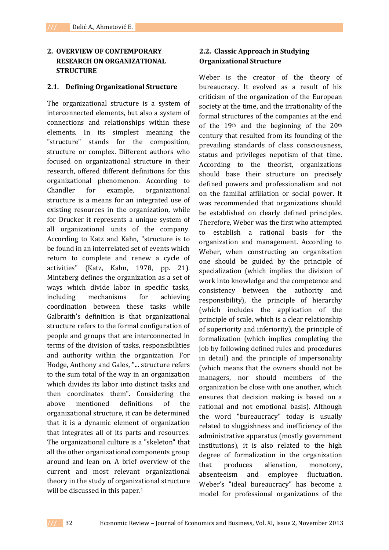## **2. OVERVIEW OF CONTEMPORARY RESEARCH ON ORGANIZATIONAL STRUCTURE**

### **2.1. Defining Organizational Structure**

The organizational structure is a system of interconnected elements, but also a system of connections and relationships within these elements. In its simplest meaning the "structure" stands for the composition, structure or complex. Different authors who focused on organizational structure in their research, offered different definitions for this organizational phenomenon. According to Chandler for example, organizational structure is a means for an integrated use of existing resources in the organization, while for Drucker it represents a unique system of all organizational units of the company. According to Katz and Kahn, "structure is to be found in an interrelated set of events which return to complete and renew a cycle of activities" (Katz, Kahn, 1978, pp. 21). Mintzberg defines the organization as a set of ways which divide labor in specific tasks, including mechanisms for achieving coordination between these tasks while Galbraith's definition is that organizational structure refers to the formal configuration of people and groups that are interconnected in terms of the division of tasks, responsibilities and authority within the organization. For Hodge, Anthony and Gales, "... structure refers to the sum total of the way in an organization which divides its labor into distinct tasks and then coordinates them". Considering the above mentioned definitions of the organizational structure, it can be determined that it is a dynamic element of organization that integrates all of its parts and resources. The organizational culture is a "skeleton" that all the other organizational components group around and lean on. A brief overview of the current and most relevant organizational theory in the study of organizational structure will be discussed in this paper.<sup>1</sup>

# **2.2. Classic Approach in Studying Organizational Structure**

Weber is the creator of the theory of bureaucracy. It evolved as a result of his criticism of the organization of the European society at the time, and the irrationality of the formal structures of the companies at the end of the 19th and the beginning of the 20th century that resulted from its founding of the prevailing standards of class consciousness, status and privileges nepotism of that time. According to the theorist, organizations should base their structure on precisely defined powers and professionalism and not on the familial affiliation or social power. It was recommended that organizations should be established on clearly defined principles. Therefore, Weber was the first who attempted to establish a rational basis for the organization and management. According to Weber, when constructing an organization one should be guided by the principle of specialization (which implies the division of work into knowledge and the competence and consistency between the authority and responsibility), the principle of hierarchy (which includes the application of the principle of scale, which is a clear relationship of superiority and inferiority), the principle of formalization (which implies completing the job by following defined rules and procedures in detail) and the principle of impersonality (which means that the owners should not be managers, nor should members of the organization be close with one another, which ensures that decision making is based on a rational and not emotional basis). Although the word "bureaucracy" today is usually related to sluggishness and inefficiency of the administrative apparatus (mostly government institutions), it is also related to the high degree of formalization in the organization that produces alienation, monotony, absenteeism and employee fluctuation. Weber's "ideal bureaucracy" has become a model for professional organizations of the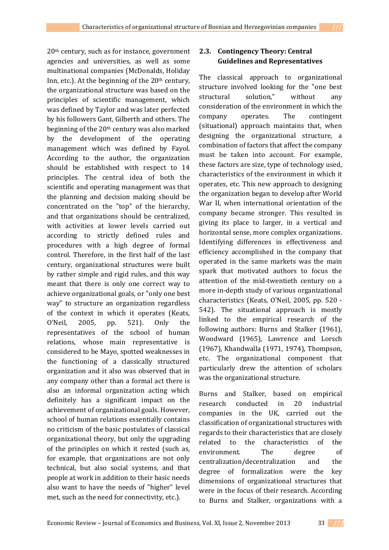20th century, such as for instance, government agencies and universities, as well as some multinational companies (McDonalds, Holiday Inn, etc.). At the beginning of the  $20<sup>th</sup>$  century, the organizational structure was based on the principles of scientific management, which was defined by Taylor and was later perfected by his followers Gant, Gilberth and others. The beginning of the 20th century was also marked by the development of the operating management which was defined by Fayol. According to the author, the organization should be established with respect to 14 principles. The central idea of both the scientific and operating management was that the planning and decision making should be concentrated on the "top" of the hierarchy, and that organizations should be centralized, with activities at lower levels carried out according to strictly defined rules and procedures with a high degree of formal control. Therefore, in the first half of the last century, organizational structures were built by rather simple and rigid rules, and this way meant that there is only one correct way to achieve organizational goals, or "only one best way" to structure an organization regardless of the context in which it operates (Keats, O'Neil, 2005, pp. 521). Only the representatives of the school of human relations, whose main representative is considered to be Mayo, spotted weaknesses in the functioning of a classically structured organization and it also was observed that in any company other than a formal act there is also an informal organization acting which definitely has a significant impact on the achievement of organizational goals. However, school of human relations essentially contains no criticism of the basic postulates of classical organizational theory, but only the upgrading of the principles on which it rested (such as, for example, that organizations are not only technical, but also social systems, and that people at work in addition to their basic needs also want to have the needs of "higher" level met, such as the need for connectivity, etc.).

# **2.3. Contingency Theory: Central Guidelines and Representatives**

The classical approach to organizational structure involved looking for the "one best structural solution," without any consideration of the environment in which the company operates. The contingent (situational) approach maintains that, when designing the organizational structure, a combination of factors that affect the company must be taken into account. For example, these factors are size, type of technology used, characteristics of the environment in which it operates, etc. This new approach to designing the organization began to develop after World War II, when international orientation of the company became stronger. This resulted in giving its place to larger, in a vertical and horizontal sense, more complex organizations. Identifying differences in effectiveness and efficiency accomplished in the company that operated in the same markets was the main spark that motivated authors to focus the attention of the mid-twentieth century on a more in-depth study of various organizational characteristics (Keats, O'Neil, 2005, pp. 520 - 542). The situational approach is mostly linked to the empirical research of the following authors: Burns and Stalker (1961), Woodward (1965), Lawrence and Lorsch (1967), Khandwalla (1971, 1974), Thompson, etc. The organizational component that particularly drew the attention of scholars was the organizational structure.

Burns and Stalker, based on empirical research conducted in 20 industrial companies in the UK, carried out the classification of organizational structures with regards to their characteristics that are closely related to the characteristics of the environment. The degree of centralization/decentralization and the degree of formalization were the key dimensions of organizational structures that were in the focus of their research. According to Burns and Stalker, organizations with a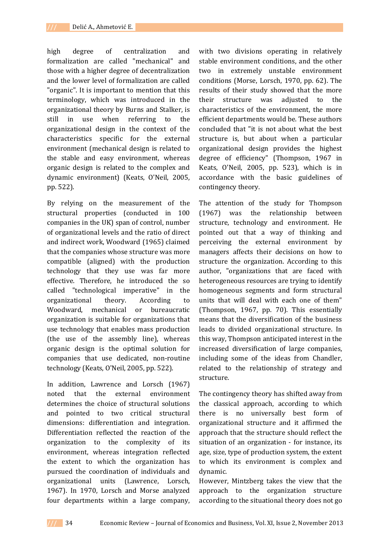high degree of centralization and formalization are called "mechanical" and those with a higher degree of decentralization and the lower level of formalization are called "organic". It is important to mention that this terminology, which was introduced in the organizational theory by Burns and Stalker, is still in use when referring to the organizational design in the context of the characteristics specific for the external environment (mechanical design is related to the stable and easy environment, whereas organic design is related to the complex and dynamic environment) (Keats, O'Neil, 2005, pp. 522).

By relying on the measurement of the structural properties (conducted in 100 companies in the UK) span of control, number of organizational levels and the ratio of direct and indirect work, Woodward (1965) claimed that the companies whose structure was more compatible (aligned) with the production technology that they use was far more effective. Therefore, he introduced the so called "technological imperative" in the organizational theory. According to Woodward, mechanical or bureaucratic organization is suitable for organizations that use technology that enables mass production (the use of the assembly line), whereas organic design is the optimal solution for companies that use dedicated, non-routine technology (Keats, O'Neil, 2005, pp. 522).

In addition, Lawrence and Lorsch (1967) noted that the external environment determines the choice of structural solutions and pointed to two critical structural dimensions: differentiation and integration. Differentiation reflected the reaction of the organization to the complexity of its environment, whereas integration reflected the extent to which the organization has pursued the coordination of individuals and organizational units (Lawrence, Lorsch, 1967). In 1970, Lorsch and Morse analyzed four departments within a large company,

with two divisions operating in relatively stable environment conditions, and the other two in extremely unstable environment conditions (Morse, Lorsch, 1970, pp. 62). The results of their study showed that the more their structure was adjusted to the characteristics of the environment, the more efficient departments would be. These authors concluded that "it is not about what the best structure is, but about when a particular organizational design provides the highest degree of efficiency" (Thompson, 1967 in Keats, O'Neil, 2005, pp. 523), which is in accordance with the basic guidelines of contingency theory.

The attention of the study for Thompson (1967) was the relationship between structure, technology and environment. He pointed out that a way of thinking and perceiving the external environment by managers affects their decisions on how to structure the organization. According to this author, "organizations that are faced with heterogeneous resources are trying to identify homogeneous segments and form structural units that will deal with each one of them" (Thompson, 1967, pp. 70). This essentially means that the diversification of the business leads to divided organizational structure. In this way, Thompson anticipated interest in the increased diversification of large companies, including some of the ideas from Chandler, related to the relationship of strategy and structure.

The contingency theory has shifted away from the classical approach, according to which there is no universally best form of organizational structure and it affirmed the approach that the structure should reflect the situation of an organization - for instance, its age, size, type of production system, the extent to which its environment is complex and dynamic.

However, Mintzberg takes the view that the approach to the organization structure according to the situational theory does not go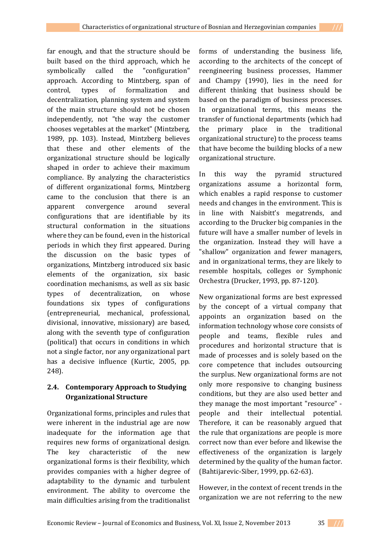far enough, and that the structure should be built based on the third approach, which he symbolically called the "configuration" approach. According to Mintzberg, span of control, types of formalization and decentralization, planning system and system of the main structure should not be chosen independently, not "the way the customer chooses vegetables at the market" (Mintzberg, 1989, pp. 103). Instead, Mintzberg believes that these and other elements of the organizational structure should be logically shaped in order to achieve their maximum compliance. By analyzing the characteristics of different organizational forms, Mintzberg came to the conclusion that there is an apparent convergence around several configurations that are identifiable by its structural conformation in the situations where they can be found, even in the historical periods in which they first appeared. During the discussion on the basic types of organizations, Mintzberg introduced six basic elements of the organization, six basic coordination mechanisms, as well as six basic types of decentralization, on whose foundations six types of configurations (entrepreneurial, mechanical, professional, divisional, innovative, missionary) are based, along with the seventh type of configuration (political) that occurs in conditions in which not a single factor, nor any organizational part has a decisive influence (Kurtic, 2005, pp. 248).

# **2.4. Contemporary Approach to Studying Organizational Structure**

Organizational forms, principles and rules that were inherent in the industrial age are now inadequate for the information age that requires new forms of organizational design. The key characteristic of the new organizational forms is their flexibility, which provides companies with a higher degree of adaptability to the dynamic and turbulent environment. The ability to overcome the main difficulties arising from the traditionalist

forms of understanding the business life, according to the architects of the concept of reengineering business processes, Hammer and Champy (1990), lies in the need for different thinking that business should be based on the paradigm of business processes. In organizational terms, this means the transfer of functional departments (which had the primary place in the traditional organizational structure) to the process teams that have become the building blocks of a new organizational structure.

In this way the pyramid structured organizations assume a horizontal form, which enables a rapid response to customer needs and changes in the environment. This is in line with Naisbitt's megatrends, and according to the Drucker big companies in the future will have a smaller number of levels in the organization. Instead they will have a "shallow" organization and fewer managers, and in organizational terms, they are likely to resemble hospitals, colleges or Symphonic Orchestra (Drucker, 1993, pp. 87-120).

New organizational forms are best expressed by the concept of a virtual company that appoints an organization based on the information technology whose core consists of people and teams, flexible rules and procedures and horizontal structure that is made of processes and is solely based on the core competence that includes outsourcing the surplus. New organizational forms are not only more responsive to changing business conditions, but they are also used better and they manage the most important "resource" people and their intellectual potential. Therefore, it can be reasonably argued that the rule that organizations are people is more correct now than ever before and likewise the effectiveness of the organization is largely determined by the quality of the human factor. (Bahtijarevic-Siber, 1999, pp. 62-63).

However, in the context of recent trends in the organization we are not referring to the new

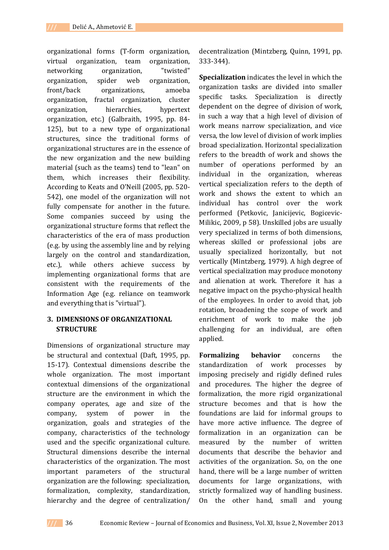organizational forms (T-form organization, virtual organization, team organization, networking organization, "twisted" organization, spider web organization, front/back organizations, amoeba organization, fractal organization, cluster organization, hierarchies, hypertext organization, etc.) (Galbraith, 1995, pp. 84- 125), but to a new type of organizational structures, since the traditional forms of organizational structures are in the essence of the new organization and the new building material (such as the teams) tend to "lean" on them, which increases their flexibility. According to Keats and O'Neill (2005, pp. 520- 542), one model of the organization will not fully compensate for another in the future. Some companies succeed by using the organizational structure forms that reflect the characteristics of the era of mass production (e.g. by using the assembly line and by relying largely on the control and standardization, etc.), while others achieve success by implementing organizational forms that are consistent with the requirements of the Information Age (e.g. reliance on teamwork and everything that is "virtual").

## **3. DIMENSIONS OF ORGANIZATIONAL STRUCTURE**

Dimensions of organizational structure may be structural and contextual (Daft, 1995, pp. 15-17). Contextual dimensions describe the whole organization. The most important contextual dimensions of the organizational structure are the environment in which the company operates, age and size of the company, system of power in the organization, goals and strategies of the company, characteristics of the technology used and the specific organizational culture. Structural dimensions describe the internal characteristics of the organization. The most important parameters of the structural organization are the following: specialization, formalization, complexity, standardization, hierarchy and the degree of centralization/ decentralization (Mintzberg, Quinn, 1991, pp. 333-344).

**Specialization** indicates the level in which the organization tasks are divided into smaller specific tasks. Specialization is directly dependent on the degree of division of work, in such a way that a high level of division of work means narrow specialization, and vice versa, the low level of division of work implies broad specialization. Horizontal specialization refers to the breadth of work and shows the number of operations performed by an individual in the organization, whereas vertical specialization refers to the depth of work and shows the extent to which an individual has control over the work performed (Petkovic, Janicijevic, Bogicevic-Milikic, 2009, p 58). Unskilled jobs are usually very specialized in terms of both dimensions, whereas skilled or professional jobs are usually specialized horizontally, but not vertically (Mintzberg, 1979). A high degree of vertical specialization may produce monotony and alienation at work. Therefore it has a negative impact on the psycho-physical health of the employees. In order to avoid that, job rotation, broadening the scope of work and enrichment of work to make the job challenging for an individual, are often applied.

**Formalizing behavior** concerns the standardization of work processes by imposing precisely and rigidly defined rules and procedures. The higher the degree of formalization, the more rigid organizational structure becomes and that is how the foundations are laid for informal groups to have more active influence. The degree of formalization in an organization can be measured by the number of written documents that describe the behavior and activities of the organization. So, on the one hand, there will be a large number of written documents for large organizations, with strictly formalized way of handling business. On the other hand, small and young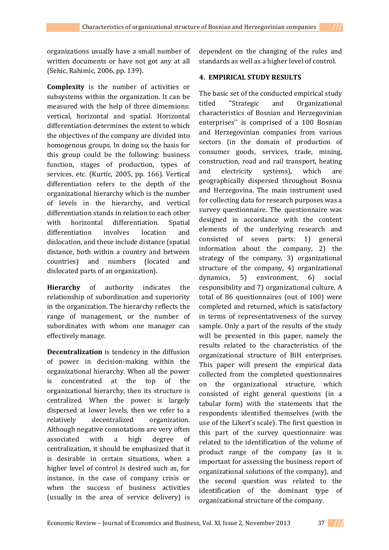organizations usually have a small number of written documents or have not got any at all (Sehic, Rahimic, 2006, pp. 139).

**Complexity** is the number of activities or subsystems within the organization. It can be measured with the help of three dimensions: vertical, horizontal and spatial. Horizontal differentiation determines the extent to which the objectives of the company are divided into homogenous groups. In doing so, the basis for this group could be the following: business function, stages of production, types of services, etc. (Kurtic, 2005, pp. 166). Vertical differentiation refers to the depth of the organizational hierarchy which is the number of levels in the hierarchy, and vertical differentiation stands in relation to each other with horizontal differentiation. Spatial differentiation involves location and dislocation, and these include distance (spatial distance, both within a country and between countries) and numbers (located and dislocated parts of an organization).

**Hierarchy** of authority indicates the relationship of subordination and superiority in the organization. The hierarchy reflects the range of management, or the number of subordinates with whom one manager can effectively manage.

**Decentralization** is tendency in the diffusion of power in decision-making within the organizational hierarchy. When all the power is concentrated at the top of the organizational hierarchy, then its structure is centralized. When the power is largely dispersed at lower levels, then we refer to a relatively decentralized organization. Although negative connotations are very often associated with a high degree of centralization, it should be emphasized that it is desirable in certain situations, when a higher level of control is desired such as, for instance, in the case of company crisis or when the success of business activities (usually in the area of service delivery) is dependent on the changing of the rules and standards as well as a higher level of control.

## **4. EMPIRICAL STUDY RESULTS**

The basic set of the conducted empirical study titled ''Strategic and Organizational characteristics of Bosnian and Herzegovinian enterprises'' is comprised of a 100 Bosnian and Herzegovinian companies from various sectors (in the domain of production of consumer goods, services, trade, mining, construction, road and rail transport, heating and electricity systems), which are geographically dispersed throughout Bosnia and Herzegovina. The main instrument used for collecting data for research purposes was a survey questionnaire. The questionnaire was designed in accordance with the content elements of the underlying research and consisted of seven parts: 1) general information about the company, 2) the strategy of the company, 3) organizational structure of the company, 4) organizational dynamics, 5) environment, 6) social responsibility and 7) organizational culture. A total of 86 questionnaires (out of 100) were completed and returned, which is satisfactory in terms of representativeness of the survey sample. Only a part of the results of the study will be presented in this paper, namely the results related to the characteristics of the organizational structure of BiH enterprises. This paper will present the empirical data collected from the completed questionnaires on the organizational structure, which consisted of eight general questions (in a tabular form) with the statements that the respondents identified themselves (with the use of the Likert's scale). The first question in this part of the survey questionnaire was related to the identification of the volume of product range of the company (as it is important for assessing the business report of organizational solutions of the company), and the second question was related to the identification of the dominant type of organizational structure of the company.

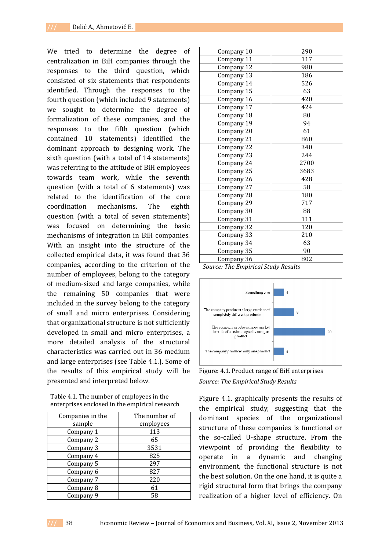We tried to determine the degree of centralization in BiH companies through the responses to the third question, which consisted of six statements that respondents identified. Through the responses to the fourth question (which included 9 statements) we sought to determine the degree of formalization of these companies, and the responses to the fifth question (which contained 10 statements) identified the dominant approach to designing work. The sixth question (with a total of 14 statements) was referring to the attitude of BiH employees towards team work, while the seventh question (with a total of 6 statements) was related to the identification of the core coordination mechanisms. The eighth question (with a total of seven statements) was focused on determining the basic mechanisms of integration in BiH companies. With an insight into the structure of the collected empirical data, it was found that 36 companies, according to the criterion of the number of employees, belong to the category of medium-sized and large companies, while the remaining 50 companies that were included in the survey belong to the category of small and micro enterprises. Considering that organizational structure is not sufficiently developed in small and micro enterprises, a more detailed analysis of the structural characteristics was carried out in 36 medium and large enterprises (see Table 4.1.). Some of the results of this empirical study will be presented and interpreted below.

Table 4.1. The number of employees in the enterprises enclosed in the empirical research

| Companies in the | The number of |
|------------------|---------------|
| sample           | employees     |
| Company 1        | 113           |
| Company 2        | 65            |
| Company 3        | 3531          |
| Company 4        | 825           |
| Company 5        | 297           |
| Company 6        | 827           |
| Company 7        | 220           |
| Company 8        | 61            |
| Company 9        | 58            |

| Company 10 | 290  |  |  |
|------------|------|--|--|
| Company 11 | 117  |  |  |
| Company 12 | 980  |  |  |
| Company 13 | 186  |  |  |
| Company 14 | 526  |  |  |
| Company 15 | 63   |  |  |
| Company 16 | 420  |  |  |
| Company 17 | 424  |  |  |
| Company 18 | 80   |  |  |
| Company 19 | 94   |  |  |
| Company 20 | 61   |  |  |
| Company 21 | 860  |  |  |
| Company 22 | 340  |  |  |
| Company 23 | 244  |  |  |
| Company 24 | 2700 |  |  |
| Company 25 | 3683 |  |  |
| Company 26 | 428  |  |  |
| Company 27 | 58   |  |  |
| Company 28 | 180  |  |  |
| Company 29 | 717  |  |  |
| Company 30 | 88   |  |  |
| Company 31 | 111  |  |  |
| Company 32 | 120  |  |  |
| Company 33 | 210  |  |  |
| Company 34 | 63   |  |  |
| Company 35 | 90   |  |  |
| Company 36 | 802  |  |  |
|            |      |  |  |

*Source: The Empirical Study Results* 



Figure: 4.1. Product range of BiH enterprises *Source: The Empirical Study Results* 

Figure 4.1. graphically presents the results of the empirical study, suggesting that the dominant species of the organizational structure of these companies is functional or the so-called U-shape structure. From the viewpoint of providing the flexibility to operate in a dynamic and changing environment, the functional structure is not the best solution. On the one hand, it is quite a rigid structural form that brings the company realization of a higher level of efficiency. On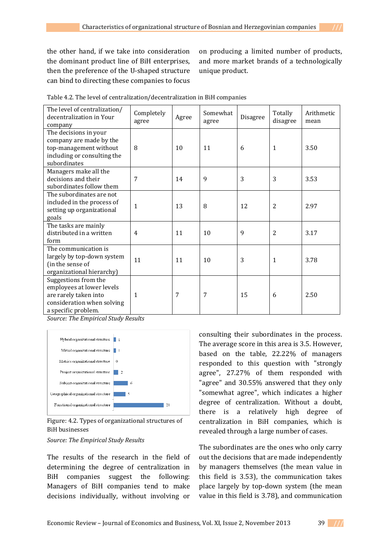the other hand, if we take into consideration the dominant product line of BiH enterprises, then the preference of the U-shaped structure can bind to directing these companies to focus on producing a limited number of products, and more market brands of a technologically unique product.

| The level of centralization/<br>decentralization in Your<br>company                                                             | Completely<br>agree | Agree | Somewhat<br>agree | Disagree | Totally<br>disagree | Arithmetic<br>mean |
|---------------------------------------------------------------------------------------------------------------------------------|---------------------|-------|-------------------|----------|---------------------|--------------------|
| The decisions in your<br>company are made by the<br>top-management without<br>including or consulting the<br>subordinates       | 8                   | 10    | 11                | 6        | 1                   | 3.50               |
| Managers make all the<br>decisions and their<br>subordinates follow them                                                        | 7                   | 14    | $\mathbf{q}$      | 3        | 3                   | 3.53               |
| The subordinates are not<br>included in the process of<br>setting up organizational<br>goals                                    | $\mathbf{1}$        | 13    | 8                 | 12       | $\overline{2}$      | 2.97               |
| The tasks are mainly<br>distributed in a written<br>form                                                                        | $\overline{4}$      | 11    | 10                | 9        | 2                   | 3.17               |
| The communication is<br>largely by top-down system<br>(in the sense of<br>organizational hierarchy)                             | 11                  | 11    | 10                | 3        | 1                   | 3.78               |
| Suggestions from the<br>employees at lower levels<br>are rarely taken into<br>consideration when solving<br>a specific problem. | 1                   | 7     | 7                 | 15       | 6                   | 2.50               |

Table 4.2. The level of centralization/decentralization in BiH companies

*Source: The Empirical Study Results* 



Figure: 4.2. Types of organizational structures of BiH businesses

*Source: The Empirical Study Results* 

The results of the research in the field of determining the degree of centralization in BiH companies suggest the following: Managers of BiH companies tend to make decisions individually, without involving or

consulting their subordinates in the process. The average score in this area is 3.5. However, based on the table, 22.22% of managers responded to this question with "strongly agree", 27.27% of them responded with "agree" and 30.55% answered that they only "somewhat agree", which indicates a higher degree of centralization. Without a doubt, there is a relatively high degree of centralization in BiH companies, which is revealed through a large number of cases.

The subordinates are the ones who only carry out the decisions that are made independently by managers themselves (the mean value in this field is 3.53), the communication takes place largely by top-down system (the mean value in this field is 3.78), and communication

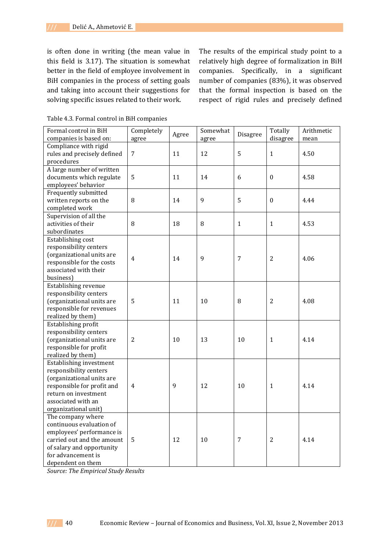is often done in writing (the mean value in this field is 3.17). The situation is somewhat better in the field of employee involvement in BiH companies in the process of setting goals and taking into account their suggestions for solving specific issues related to their work.

The results of the empirical study point to a relatively high degree of formalization in BiH companies. Specifically, in a significant number of companies (83%), it was observed that the formal inspection is based on the respect of rigid rules and precisely defined

| Formal control in BiH       | Completely     | Agree | Somewhat | Disagree       | Totally          | Arithmetic |
|-----------------------------|----------------|-------|----------|----------------|------------------|------------|
| companies is based on:      | agree          |       | agree    |                | disagree         | mean       |
| Compliance with rigid       |                |       |          |                |                  |            |
| rules and precisely defined | $\overline{7}$ | 11    | 12       | 5              | $\mathbf 1$      | 4.50       |
| procedures                  |                |       |          |                |                  |            |
| A large number of written   |                |       |          |                |                  |            |
| documents which regulate    | 5              | 11    | 14       | 6              | $\boldsymbol{0}$ | 4.58       |
| employees' behavior         |                |       |          |                |                  |            |
| Frequently submitted        |                |       |          |                |                  |            |
| written reports on the      | 8              | 14    | 9        | 5              | $\boldsymbol{0}$ | 4.44       |
| completed work              |                |       |          |                |                  |            |
| Supervision of all the      |                |       |          |                |                  |            |
| activities of their         | $\, 8$         | 18    | 8        | $\mathbf{1}$   | $\mathbf{1}$     | 4.53       |
| subordinates                |                |       |          |                |                  |            |
| Establishing cost           |                |       |          |                |                  |            |
| responsibility centers      |                |       |          |                |                  |            |
| (organizational units are   | $\overline{4}$ | 14    | 9        | $\overline{7}$ | $\overline{2}$   | 4.06       |
| responsible for the costs   |                |       |          |                |                  |            |
| associated with their       |                |       |          |                |                  |            |
| business)                   |                |       |          |                |                  |            |
| Establishing revenue        |                |       |          |                |                  |            |
| responsibility centers      |                |       |          |                |                  |            |
| (organizational units are   | 5              | 11    | 10       | 8              | $\overline{2}$   | 4.08       |
| responsible for revenues    |                |       |          |                |                  |            |
| realized by them)           |                |       |          |                |                  |            |
| Establishing profit         |                |       |          |                |                  |            |
| responsibility centers      |                |       |          |                |                  |            |
| (organizational units are   | $\overline{2}$ | 10    | 13       | 10             | $\mathbf{1}$     | 4.14       |
| responsible for profit      |                |       |          |                |                  |            |
| realized by them)           |                |       |          |                |                  |            |
| Establishing investment     |                |       |          |                |                  |            |
| responsibility centers      |                |       |          |                |                  |            |
| (organizational units are   |                |       |          |                |                  |            |
| responsible for profit and  | 4              | 9     | 12       | 10             | $\mathbf{1}$     | 4.14       |
| return on investment        |                |       |          |                |                  |            |
| associated with an          |                |       |          |                |                  |            |
| organizational unit)        |                |       |          |                |                  |            |
| The company where           |                |       |          |                |                  |            |
| continuous evaluation of    |                |       |          |                |                  |            |
| employees' performance is   |                |       |          |                |                  |            |
| carried out and the amount  | 5              | 12    | 10       | 7              | $\overline{c}$   | 4.14       |
| of salary and opportunity   |                |       |          |                |                  |            |
| for advancement is          |                |       |          |                |                  |            |
| dependent on them           |                |       |          |                |                  |            |

Table 4.3. Formal control in BiH companies

*Source: The Empirical Study Results*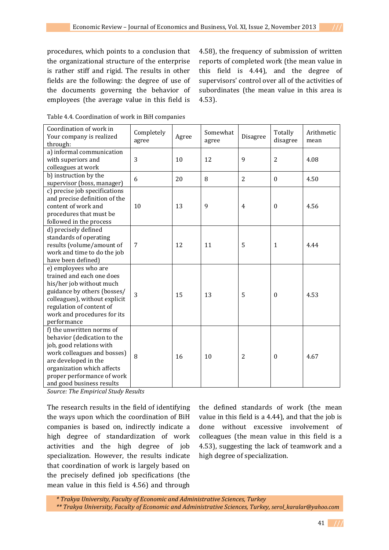procedures, which points to a conclusion that the organizational structure of the enterprise is rather stiff and rigid. The results in other fields are the following: the degree of use of the documents governing the behavior of employees (the average value in this field is

4.58), the frequency of submission of written reports of completed work (the mean value in this field is 4.44), and the degree of supervisors' control over all of the activities of subordinates (the mean value in this area is 4.53).

| Coordination of work in<br>Your company is realized<br>through:                                                                                                                                                                      | Completely<br>agree | Agree | Somewhat<br>agree | Disagree       | Totally<br>disagree | Arithmetic<br>mean |
|--------------------------------------------------------------------------------------------------------------------------------------------------------------------------------------------------------------------------------------|---------------------|-------|-------------------|----------------|---------------------|--------------------|
| a) informal communication<br>with superiors and<br>colleagues at work                                                                                                                                                                | 3                   | 10    | 12                | 9              | $\overline{2}$      | 4.08               |
| b) instruction by the<br>supervisor (boss, manager)                                                                                                                                                                                  | 6                   | 20    | 8                 | $\overline{2}$ | $\theta$            | 4.50               |
| c) precise job specifications<br>and precise definition of the<br>content of work and<br>procedures that must be<br>followed in the process                                                                                          | 10                  | 13    | 9                 | 4              | $\theta$            | 4.56               |
| d) precisely defined<br>standards of operating<br>results (volume/amount of<br>work and time to do the job<br>have been defined)                                                                                                     | 7                   | 12    | 11                | 5              | $\mathbf{1}$        | 4.44               |
| e) employees who are<br>trained and each one does<br>his/her job without much<br>guidance by others (bosses/<br>colleagues), without explicit<br>regulation of content of<br>work and procedures for its<br>performance              | 3                   | 15    | 13                | 5              | $\mathbf{0}$        | 4.53               |
| f) the unwritten norms of<br>behavior (dedication to the<br>job, good relations with<br>work colleagues and bosses)<br>are developed in the<br>organization which affects<br>proper performance of work<br>and good business results | 8                   | 16    | 10                | $\overline{c}$ | $\boldsymbol{0}$    | 4.67               |

| Table 4.4. Coordination of work in BiH companies |  |
|--------------------------------------------------|--|
|--------------------------------------------------|--|

*Source: The Empirical Study Results* 

The research results in the field of identifying the ways upon which the coordination of BiH companies is based on, indirectly indicate a high degree of standardization of work activities and the high degree of job specialization. However, the results indicate that coordination of work is largely based on the precisely defined job specifications (the mean value in this field is 4.56) and through

the defined standards of work (the mean value in this field is a 4.44), and that the job is done without excessive involvement of colleagues (the mean value in this field is a 4.53), suggesting the lack of teamwork and a high degree of specialization.

*\* Trakya University, Faculty of Economic and Administrative Sciences, Turkey \*\* Trakya University, Faculty of Economic and Administrative Sciences, Turkey, serol\_karalar@yahoo.com*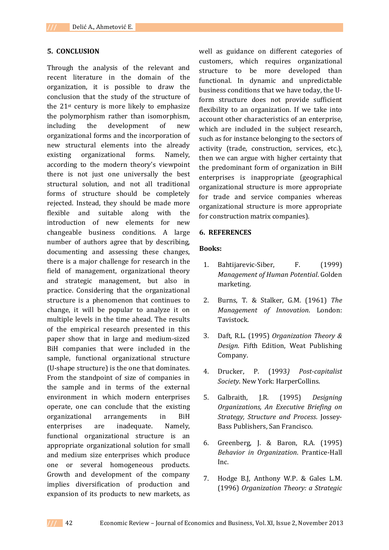#### **5. CONCLUSION**

Through the analysis of the relevant and recent literature in the domain of the organization, it is possible to draw the conclusion that the study of the structure of the 21st century is more likely to emphasize the polymorphism rather than isomorphism, including the development of new organizational forms and the incorporation of new structural elements into the already existing organizational forms. Namely, according to the modern theory's viewpoint there is not just one universally the best structural solution, and not all traditional forms of structure should be completely rejected. Instead, they should be made more flexible and suitable along with the introduction of new elements for new changeable business conditions. A large number of authors agree that by describing, documenting and assessing these changes, there is a major challenge for research in the field of management, organizational theory and strategic management, but also in practice. Considering that the organizational structure is a phenomenon that continues to change, it will be popular to analyze it on multiple levels in the time ahead. The results of the empirical research presented in this paper show that in large and medium-sized BiH companies that were included in the sample, functional organizational structure (U-shape structure) is the one that dominates. From the standpoint of size of companies in the sample and in terms of the external environment in which modern enterprises operate, one can conclude that the existing organizational arrangements in BiH enterprises are inadequate. Namely, functional organizational structure is an appropriate organizational solution for small and medium size enterprises which produce one or several homogeneous products. Growth and development of the company implies diversification of production and expansion of its products to new markets, as

well as guidance on different categories of customers, which requires organizational structure to be more developed than functional. In dynamic and unpredictable business conditions that we have today, the Uform structure does not provide sufficient flexibility to an organization. If we take into account other characteristics of an enterprise, which are included in the subject research, such as for instance belonging to the sectors of activity (trade, construction, services, etc.), then we can argue with higher certainty that the predominant form of organization in BiH enterprises is inappropriate (geographical organizational structure is more appropriate for trade and service companies whereas organizational structure is more appropriate for construction matrix companies).

#### **6. REFERENCES**

#### **Books:**

- 1. Bahtijarevic-Siber, F. (1999) *Management of Human Potential*. Golden marketing.
- 2. Burns, T. & Stalker, G.M. (1961) *The Management of Innovation*. London: Tavistock.
- 3. Daft, R.L. (1995) *Organization Theory & Design*. Fifth Edition, Weat Publishing Company.
- 4. Drucker, P. (1993*) Post-capitalist Society*. New York: HarperCollins.
- 5. Galbraith, J.R. (1995) *Designing Organizations, An Executive Briefing on Strategy, Structure and Process*. Jossey-Bass Publishers, San Francisco.
- 6. Greenberg, J. & Baron, R.A. (1995) *Behavior in Organization*. Prantice-Hall Inc.
- 7. Hodge B.J, Anthony W.P. & Gales L.M. (1996) *Organization Theory: a Strategic*